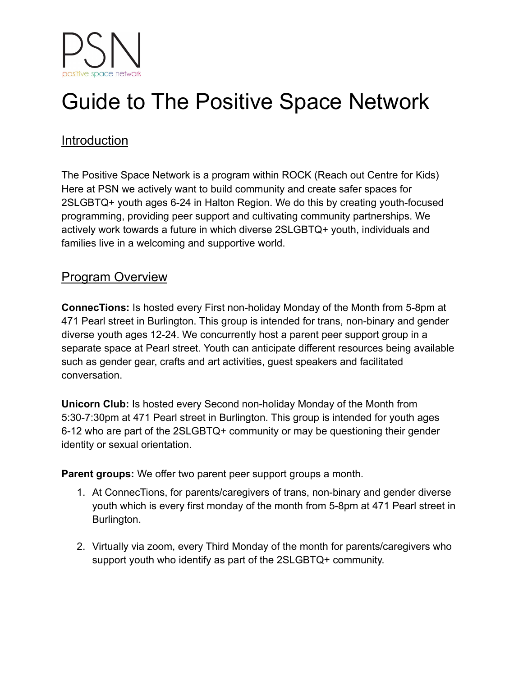# Guide to The Positive Space Network

# Introduction

The Positive Space Network is a program within ROCK (Reach out Centre for Kids) Here at PSN we actively want to build community and create safer spaces for 2SLGBTQ+ youth ages 6-24 in Halton Region. We do this by creating youth-focused programming, providing peer support and cultivating community partnerships. We actively work towards a future in which diverse 2SLGBTQ+ youth, individuals and families live in a welcoming and supportive world.

# Program Overview

**ConnecTions:** Is hosted every First non-holiday Monday of the Month from 5-8pm at 471 Pearl street in Burlington. This group is intended for trans, non-binary and gender diverse youth ages 12-24. We concurrently host a parent peer support group in a separate space at Pearl street. Youth can anticipate different resources being available such as gender gear, crafts and art activities, guest speakers and facilitated conversation.

**Unicorn Club:** Is hosted every Second non-holiday Monday of the Month from 5:30-7:30pm at 471 Pearl street in Burlington. This group is intended for youth ages 6-12 who are part of the 2SLGBTQ+ community or may be questioning their gender identity or sexual orientation.

**Parent groups:** We offer two parent peer support groups a month.

- 1. At ConnecTions, for parents/caregivers of trans, non-binary and gender diverse youth which is every first monday of the month from 5-8pm at 471 Pearl street in Burlington.
- 2. Virtually via zoom, every Third Monday of the month for parents/caregivers who support youth who identify as part of the 2SLGBTQ+ community.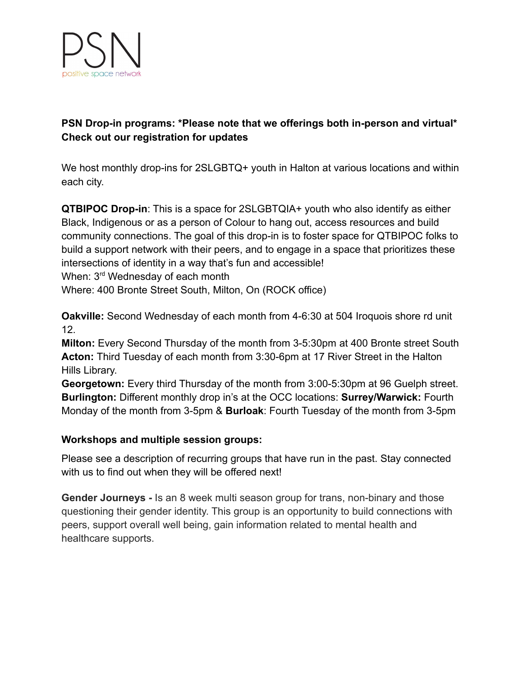

### **PSN Drop-in programs: \*Please note that we offerings both in-person and virtual\* Check out our registration for updates**

We host monthly drop-ins for 2SLGBTQ+ youth in Halton at various locations and within each city.

**QTBIPOC Drop-in**: This is a space for 2SLGBTQIA+ youth who also identify as either Black, Indigenous or as a person of Colour to hang out, access resources and build community connections. The goal of this drop-in is to foster space for QTBIPOC folks to build a support network with their peers, and to engage in a space that prioritizes these intersections of identity in a way that's fun and accessible!

When: 3<sup>rd</sup> Wednesday of each month

Where: 400 Bronte Street South, Milton, On (ROCK office)

**Oakville:** Second Wednesday of each month from 4-6:30 at 504 Iroquois shore rd unit 12.

**Milton:** Every Second Thursday of the month from 3-5:30pm at 400 Bronte street South **Acton:** Third Tuesday of each month from 3:30-6pm at 17 River Street in the Halton Hills Library.

**Georgetown:** Every third Thursday of the month from 3:00-5:30pm at 96 Guelph street. **Burlington:** Different monthly drop in's at the OCC locations: **Surrey/Warwick:** Fourth Monday of the month from 3-5pm & **Burloak**: Fourth Tuesday of the month from 3-5pm

### **Workshops and multiple session groups:**

Please see a description of recurring groups that have run in the past. Stay connected with us to find out when they will be offered next!

**Gender Journeys -** Is an 8 week multi season group for trans, non-binary and those questioning their gender identity. This group is an opportunity to build connections with peers, support overall well being, gain information related to mental health and healthcare supports.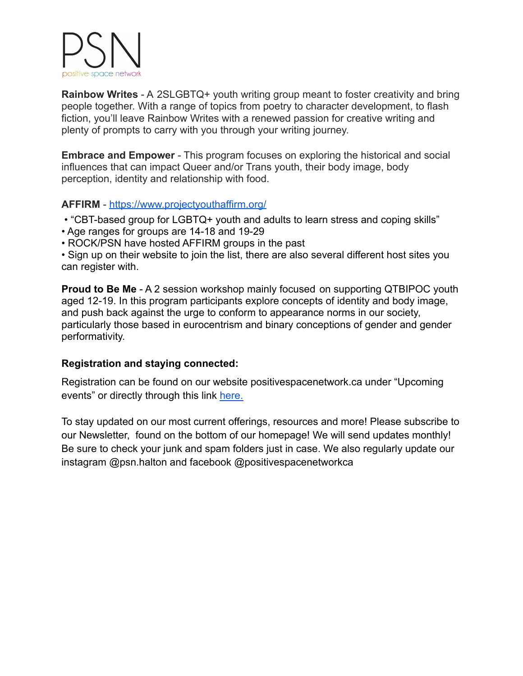

**Rainbow Writes** - A 2SLGBTQ+ youth writing group meant to foster creativity and bring people together. With a range of topics from poetry to character development, to flash fiction, you'll leave Rainbow Writes with a renewed passion for creative writing and plenty of prompts to carry with you through your writing journey.

**Embrace and Empower** - This program focuses on exploring the historical and social influences that can impact Queer and/or Trans youth, their body image, body perception, identity and relationship with food.

### **AFFIRM** - <https://www.projectyouthaffirm.org/>

- "CBT-based group for LGBTQ+ youth and adults to learn stress and coping skills"
- Age ranges for groups are 14-18 and 19-29
- ROCK/PSN have hosted AFFIRM groups in the past

• Sign up on their website to join the list, there are also several different host sites you can register with.

**Proud to Be Me** - A 2 session workshop mainly focused on supporting QTBIPOC youth aged 12-19. In this program participants explore concepts of identity and body image, and push back against the urge to conform to appearance norms in our society, particularly those based in eurocentrism and binary conceptions of gender and gender performativity.

### **Registration and staying connected:**

Registration can be found on our website positivespacenetwork.ca under "Upcoming events" or directly through this link [here.](https://bookwhen.com/rock-psn)

To stay updated on our most current offerings, resources and more! Please subscribe to our Newsletter, found on the bottom of our homepage! We will send updates monthly! Be sure to check your junk and spam folders just in case. We also regularly update our instagram @psn.halton and facebook @positivespacenetworkca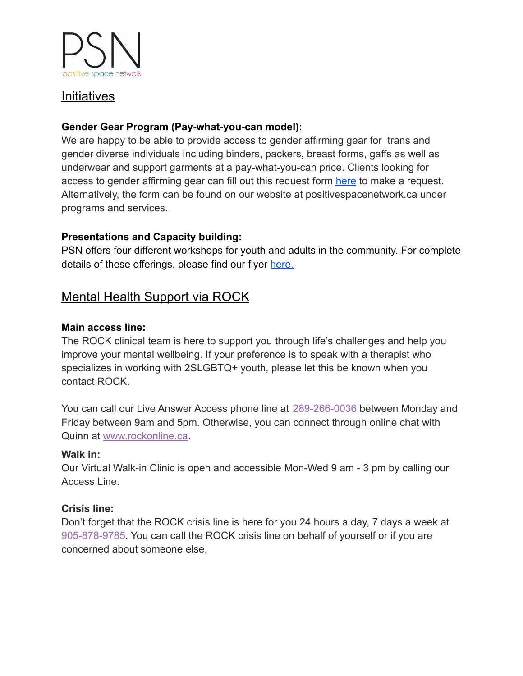

## **Initiatives**

### **Gender Gear Program (Pay-what-you-can model):**

We are happy to be able to provide access to gender affirming gear for trans and gender diverse individuals including binders, packers, breast forms, gaffs as well as underwear and support garments at a pay-what-you-can price. Clients looking for access to gender affirming gear can fill out this request form [here](https://forms.office.com/pages/responsepage.aspx?id=iVOIsSrl_UqxsaJwHkrjloh-casNmVRFntflgQqM5nBUNkRVV0ZSMVhYRlg4T0RVV1ZGWUROVEsyRi4u) to make a request. Alternatively, the form can be found on our website at positivespacenetwork.ca under programs and services.

### **Presentations and Capacity building:**

PSN offers four different workshops for youth and adults in the community. For complete details of these offerings, please find our flyer [here.](https://positivespacenetwork.ca/wp-content/uploads/2021/11/PSN-Presentation-Menu-Final-Copy-1.pdf)

# Mental Health Support via ROCK

### **Main access line:**

The ROCK clinical team is here to support you through life's challenges and help you improve your mental wellbeing. If your preference is to speak with a therapist who specializes in working with 2SLGBTQ+ youth, please let this be known when you contact ROCK.

You can call our Live Answer Access phone line at 289-266-0036 between Monday and Friday between 9am and 5pm. Otherwise, you can connect through online chat with Quinn at [www.rockonline.ca](http://www.rockonline.ca/).

### **Walk in:**

Our Virtual Walk-in Clinic is open and accessible Mon-Wed 9 am - 3 pm by calling our Access Line.

### **Crisis line:**

Don't forget that the ROCK crisis line is here for you 24 hours a day, 7 days a week at 905-878-9785. You can call the ROCK crisis line on behalf of yourself or if you are concerned about someone else.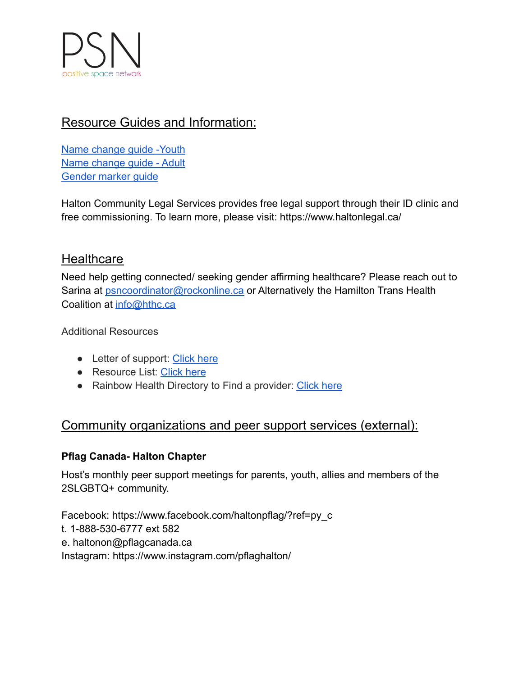

# Resource Guides and Information:

[Name change guide -Youth](https://positivespacenetwork.ca/wp-content/uploads/2021/05/Updated-Youth-Name-Change-Guide.pdf#new_tab) [Name change guide - Adult](https://positivespacenetwork.ca/wp-content/uploads/2021/05/Updated-Adult-Name-Change-Guide-1-1.pdf#new_tab) [Gender marker guide](https://positivespacenetwork.ca/wp-content/uploads/2021/05/Updated-Gender-Marker-ID-Guide.pdf#new_tab)

Halton Community Legal Services provides free legal support through their ID clinic and free commissioning. To learn more, please visit: https://www.haltonlegal.ca/

## **Healthcare**

Need help getting connected/ seeking gender affirming healthcare? Please reach out to Sarina at **[psncoordinator@rockonline.ca](mailto:psncoordinator@rockonline.ca)** or Alternatively the Hamilton Trans Health Coalition at [info@hthc.ca](mailto:info@hthc.ca)

Additional Resources

- Letter of support: [Click here](https://positivespacenetwork.ca/wp-content/uploads/2021/05/Health-Care-Letter-of-Reference-1.pdf)
- Resource List: [Click here](https://haltonphysicianassociation.ca/wp-content/uploads/2022/02/HTHC-Full-Resource-List-for-Providers-Website-Copy.pdf)
- Rainbow Health Directory to Find a provider: [Click](https://www.rainbowhealthontario.ca/lgbt2sq-health/service-provider-directory/) here

# Community organizations and peer support services (external):

### **Pflag Canada- Halton Chapter**

Host's monthly peer support meetings for parents, youth, allies and members of the 2SLGBTQ+ community.

Facebook: https://www.facebook.com/haltonpflag/?ref=py\_c t. 1-888-530-6777 ext 582 e. haltonon@pflagcanada.ca Instagram: https://www.instagram.com/pflaghalton/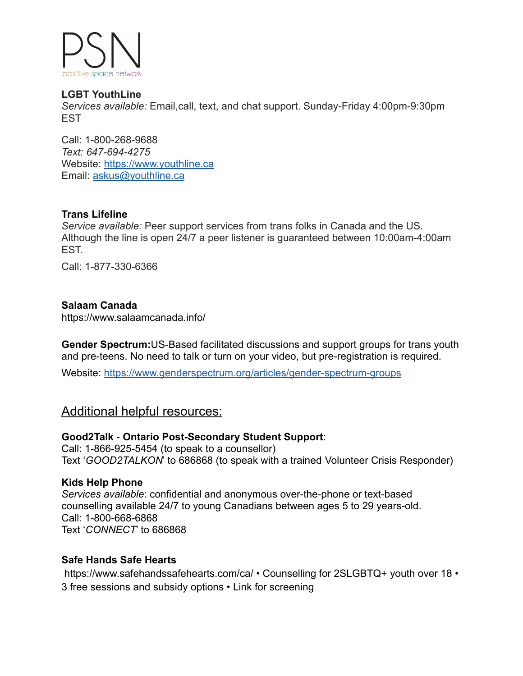

#### **LGBT YouthLine**

*Services available:* Email,call, text, and chat support. Sunday-Friday 4:00pm-9:30pm EST

Call: 1-800-268-9688 *Text: 647-694-4275* Website: [https://www.youthline.ca](https://www.youthline.ca/) Email: [askus@youthline.ca](mailto:askus@youthline.ca)

### **Trans Lifeline**

*Service available:* Peer support services from trans folks in Canada and the US. Although the line is open 24/7 a peer listener is guaranteed between 10:00am-4:00am EST.

Call: 1-877-330-6366

### **Salaam Canada**

https://www.salaamcanada.info/

**Gender Spectrum:**US-Based facilitated discussions and support groups for trans youth and pre-teens. No need to talk or turn on your video, but pre-registration is required.

Website: <https://www.genderspectrum.org/articles/gender-spectrum-groups>

### Additional helpful resources:

### **Good2Talk** - **Ontario Post-Secondary Student Support**:

Call: 1-866-925-5454 (to speak to a counsellor) Text '*GOOD2TALKON*' to 686868 (to speak with a trained Volunteer Crisis Responder)

### **Kids Help Phone**

*Services available*: confidential and anonymous over-the-phone or text-based counselling available 24/7 to young Canadians between ages 5 to 29 years-old. Call: 1-800-668-6868 Text '*CONNECT*' to 686868

### **Safe Hands Safe Hearts**

https://www.safehandssafehearts.com/ca/ • Counselling for 2SLGBTQ+ youth over 18 • 3 free sessions and subsidy options • Link for screening